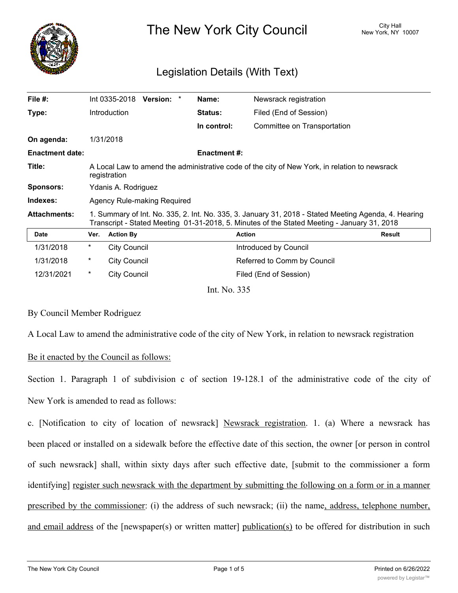

The New York City Council New York, NY 10007

# Legislation Details (With Text)

| File $#$ :             |                                                                                                                                                                                                     | Int 0335-2018       | <b>Version:</b> | * | Name:               | Newsrack registration       |        |
|------------------------|-----------------------------------------------------------------------------------------------------------------------------------------------------------------------------------------------------|---------------------|-----------------|---|---------------------|-----------------------------|--------|
| Type:                  |                                                                                                                                                                                                     | <b>Introduction</b> |                 |   | <b>Status:</b>      | Filed (End of Session)      |        |
|                        |                                                                                                                                                                                                     |                     |                 |   | In control:         | Committee on Transportation |        |
| On agenda:             |                                                                                                                                                                                                     | 1/31/2018           |                 |   |                     |                             |        |
| <b>Enactment date:</b> |                                                                                                                                                                                                     |                     |                 |   | <b>Enactment #:</b> |                             |        |
| Title:                 | A Local Law to amend the administrative code of the city of New York, in relation to newsrack<br>registration                                                                                       |                     |                 |   |                     |                             |        |
| <b>Sponsors:</b>       | Ydanis A. Rodriguez                                                                                                                                                                                 |                     |                 |   |                     |                             |        |
| Indexes:               | Agency Rule-making Required                                                                                                                                                                         |                     |                 |   |                     |                             |        |
| <b>Attachments:</b>    | 1. Summary of Int. No. 335, 2. Int. No. 335, 3. January 31, 2018 - Stated Meeting Agenda, 4. Hearing<br>Transcript - Stated Meeting 01-31-2018, 5. Minutes of the Stated Meeting - January 31, 2018 |                     |                 |   |                     |                             |        |
| Date                   | Ver.                                                                                                                                                                                                | <b>Action By</b>    |                 |   |                     | <b>Action</b>               | Result |
| 1/31/2018              | $^\star$                                                                                                                                                                                            | <b>City Council</b> |                 |   |                     | Introduced by Council       |        |
| 1/31/2018              | $^\star$                                                                                                                                                                                            | <b>City Council</b> |                 |   |                     | Referred to Comm by Council |        |
| 12/31/2021             | $\ast$                                                                                                                                                                                              | <b>City Council</b> |                 |   |                     | Filed (End of Session)      |        |
|                        |                                                                                                                                                                                                     |                     |                 |   | Int. No. 335        |                             |        |

## By Council Member Rodriguez

A Local Law to amend the administrative code of the city of New York, in relation to newsrack registration

## Be it enacted by the Council as follows:

Section 1. Paragraph 1 of subdivision c of section 19-128.1 of the administrative code of the city of New York is amended to read as follows:

c. [Notification to city of location of newsrack] Newsrack registration. 1. (a) Where a newsrack has been placed or installed on a sidewalk before the effective date of this section, the owner [or person in control of such newsrack] shall, within sixty days after such effective date, [submit to the commissioner a form identifying] register such newsrack with the department by submitting the following on a form or in a manner prescribed by the commissioner: (i) the address of such newsrack; (ii) the name, address, telephone number, and email address of the [newspaper(s) or written matter] publication(s) to be offered for distribution in such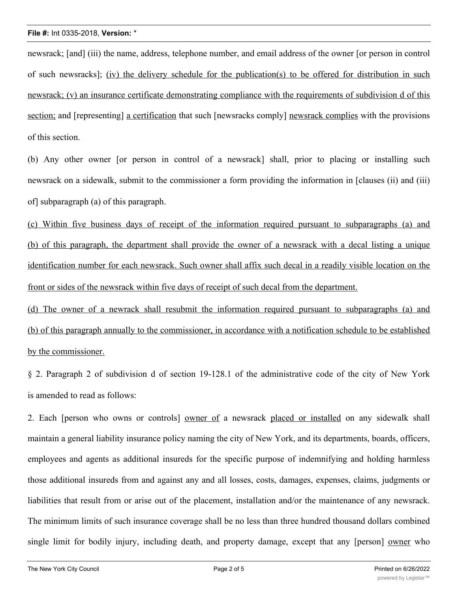newsrack; [and] (iii) the name, address, telephone number, and email address of the owner [or person in control of such newsracks]; (iv) the delivery schedule for the publication(s) to be offered for distribution in such newsrack; (v) an insurance certificate demonstrating compliance with the requirements of subdivision d of this section; and [representing] a certification that such [newsracks comply] newsrack complies with the provisions of this section.

(b) Any other owner [or person in control of a newsrack] shall, prior to placing or installing such newsrack on a sidewalk, submit to the commissioner a form providing the information in [clauses (ii) and (iii) of] subparagraph (a) of this paragraph.

(c) Within five business days of receipt of the information required pursuant to subparagraphs (a) and (b) of this paragraph, the department shall provide the owner of a newsrack with a decal listing a unique identification number for each newsrack. Such owner shall affix such decal in a readily visible location on the front or sides of the newsrack within five days of receipt of such decal from the department.

(d) The owner of a newrack shall resubmit the information required pursuant to subparagraphs (a) and (b) of this paragraph annually to the commissioner, in accordance with a notification schedule to be established by the commissioner.

§ 2. Paragraph 2 of subdivision d of section 19-128.1 of the administrative code of the city of New York is amended to read as follows:

2. Each [person who owns or controls] owner of a newsrack placed or installed on any sidewalk shall maintain a general liability insurance policy naming the city of New York, and its departments, boards, officers, employees and agents as additional insureds for the specific purpose of indemnifying and holding harmless those additional insureds from and against any and all losses, costs, damages, expenses, claims, judgments or liabilities that result from or arise out of the placement, installation and/or the maintenance of any newsrack. The minimum limits of such insurance coverage shall be no less than three hundred thousand dollars combined single limit for bodily injury, including death, and property damage, except that any [person] owner who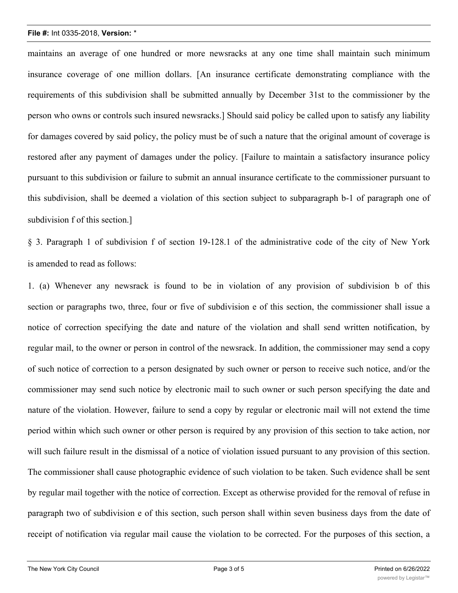### **File #:** Int 0335-2018, **Version:** \*

maintains an average of one hundred or more newsracks at any one time shall maintain such minimum insurance coverage of one million dollars. [An insurance certificate demonstrating compliance with the requirements of this subdivision shall be submitted annually by December 31st to the commissioner by the person who owns or controls such insured newsracks.] Should said policy be called upon to satisfy any liability for damages covered by said policy, the policy must be of such a nature that the original amount of coverage is restored after any payment of damages under the policy. [Failure to maintain a satisfactory insurance policy pursuant to this subdivision or failure to submit an annual insurance certificate to the commissioner pursuant to this subdivision, shall be deemed a violation of this section subject to subparagraph b-1 of paragraph one of subdivision f of this section.]

§ 3. Paragraph 1 of subdivision f of section 19-128.1 of the administrative code of the city of New York is amended to read as follows:

1. (a) Whenever any newsrack is found to be in violation of any provision of subdivision b of this section or paragraphs two, three, four or five of subdivision e of this section, the commissioner shall issue a notice of correction specifying the date and nature of the violation and shall send written notification, by regular mail, to the owner or person in control of the newsrack. In addition, the commissioner may send a copy of such notice of correction to a person designated by such owner or person to receive such notice, and/or the commissioner may send such notice by electronic mail to such owner or such person specifying the date and nature of the violation. However, failure to send a copy by regular or electronic mail will not extend the time period within which such owner or other person is required by any provision of this section to take action, nor will such failure result in the dismissal of a notice of violation issued pursuant to any provision of this section. The commissioner shall cause photographic evidence of such violation to be taken. Such evidence shall be sent by regular mail together with the notice of correction. Except as otherwise provided for the removal of refuse in paragraph two of subdivision e of this section, such person shall within seven business days from the date of receipt of notification via regular mail cause the violation to be corrected. For the purposes of this section, a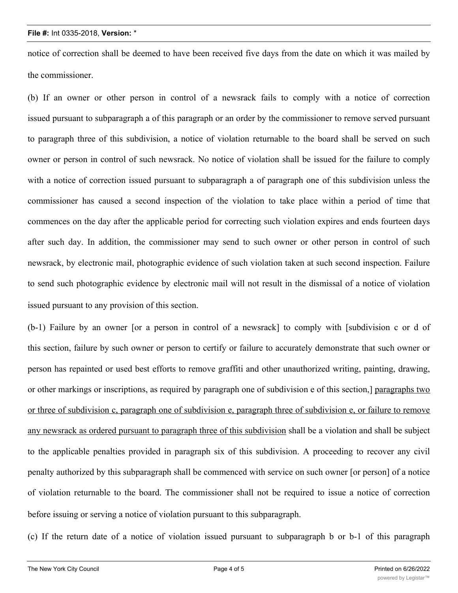#### **File #:** Int 0335-2018, **Version:** \*

notice of correction shall be deemed to have been received five days from the date on which it was mailed by the commissioner.

(b) If an owner or other person in control of a newsrack fails to comply with a notice of correction issued pursuant to subparagraph a of this paragraph or an order by the commissioner to remove served pursuant to paragraph three of this subdivision, a notice of violation returnable to the board shall be served on such owner or person in control of such newsrack. No notice of violation shall be issued for the failure to comply with a notice of correction issued pursuant to subparagraph a of paragraph one of this subdivision unless the commissioner has caused a second inspection of the violation to take place within a period of time that commences on the day after the applicable period for correcting such violation expires and ends fourteen days after such day. In addition, the commissioner may send to such owner or other person in control of such newsrack, by electronic mail, photographic evidence of such violation taken at such second inspection. Failure to send such photographic evidence by electronic mail will not result in the dismissal of a notice of violation issued pursuant to any provision of this section.

(b-1) Failure by an owner [or a person in control of a newsrack] to comply with [subdivision c or d of this section, failure by such owner or person to certify or failure to accurately demonstrate that such owner or person has repainted or used best efforts to remove graffiti and other unauthorized writing, painting, drawing, or other markings or inscriptions, as required by paragraph one of subdivision e of this section,] paragraphs two or three of subdivision c, paragraph one of subdivision e, paragraph three of subdivision e, or failure to remove any newsrack as ordered pursuant to paragraph three of this subdivision shall be a violation and shall be subject to the applicable penalties provided in paragraph six of this subdivision. A proceeding to recover any civil penalty authorized by this subparagraph shall be commenced with service on such owner [or person] of a notice of violation returnable to the board. The commissioner shall not be required to issue a notice of correction before issuing or serving a notice of violation pursuant to this subparagraph.

(c) If the return date of a notice of violation issued pursuant to subparagraph b or b-1 of this paragraph